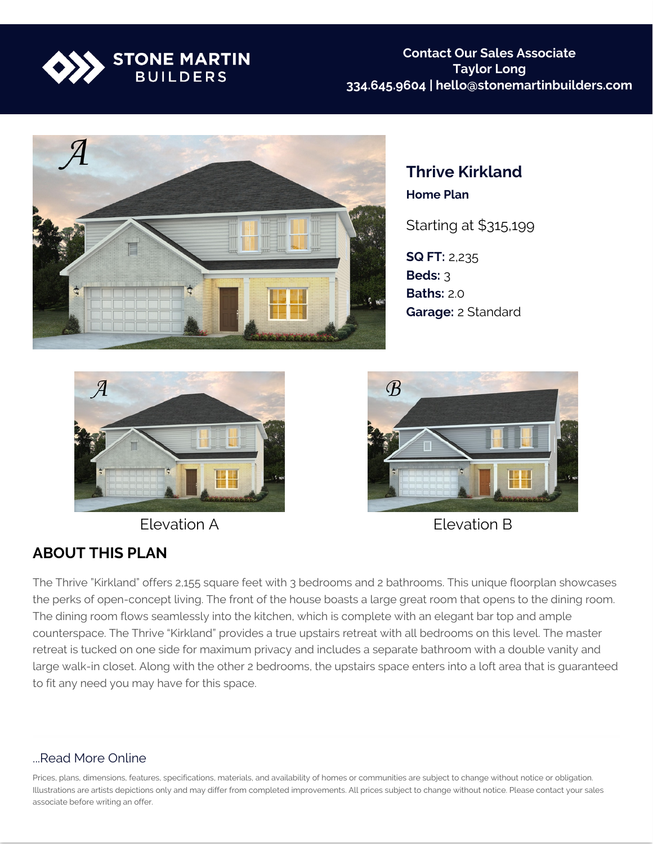



**Thrive Kirkland Home Plan**

Starting at \$315,199

**SQ FT:** 2,235 **Beds:** 3 **Baths:** 2.0 **Garage:** 2 Standard



Elevation A Elevation B



## **ABOUT THIS PLAN**

The Thrive "Kirkland" offers 2,155 square feet with 3 bedrooms and 2 bathrooms. This unique floorplan showcases the perks of open-concept living. The front of the house boasts a large great room that opens to the dining room. The dining room flows seamlessly into the kitchen, which is complete with an elegant bar top and ample counterspace. The Thrive "Kirkland" provides a true upstairs retreat with all bedrooms on this level. The master retreat is tucked on one side for maximum privacy and includes a separate bathroom with a double vanity and large walk-in closet. Along with the other 2 bedrooms, the upstairs space enters into a loft area that is guaranteed to fit any need you may have for this space.

## ...Read More Online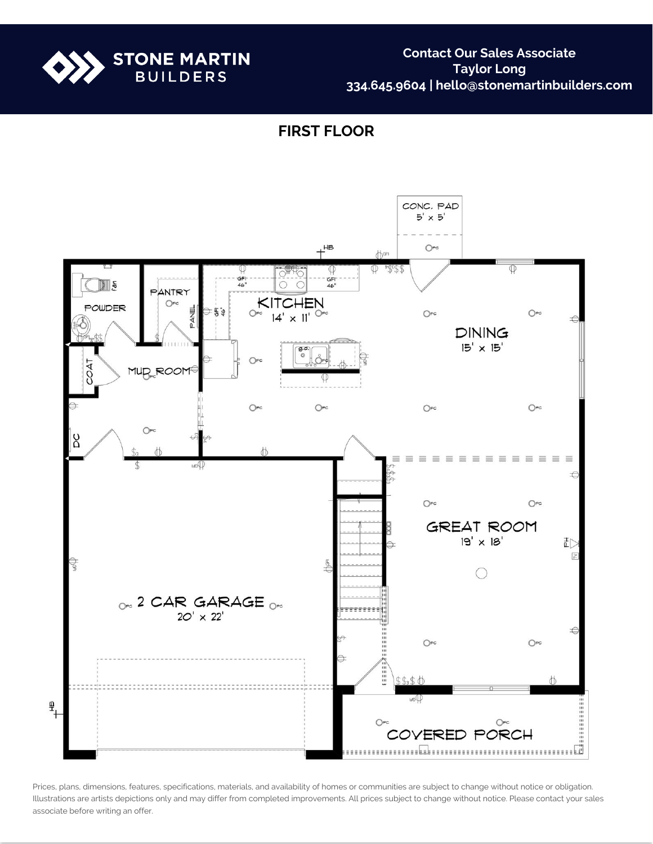

**Contact Our Sales Associate Taylor Long 334.645.9604 | hello@stonemartinbuilders.com**

**FIRST FLOOR**

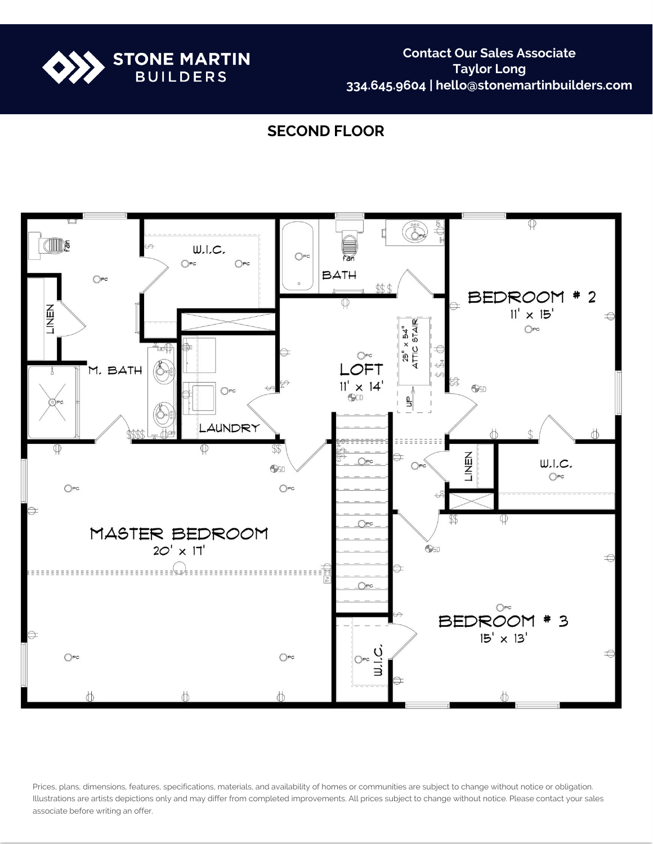

**Contact Our Sales Associate Taylor Long 334.645.9604 | hello@stonemartinbuilders.com**

## **SECOND FLOOR**